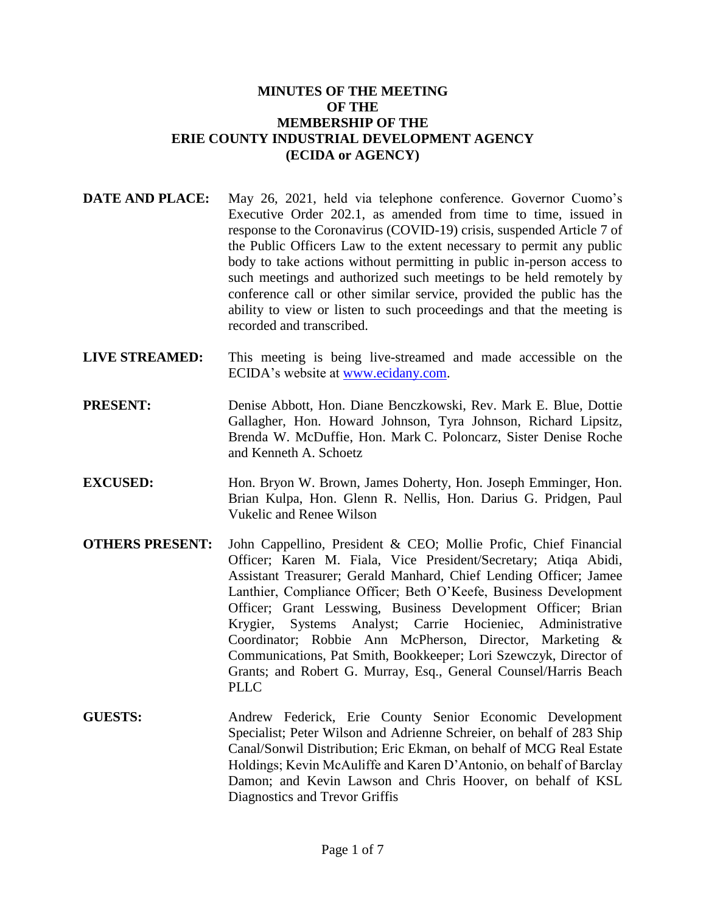### **MINUTES OF THE MEETING OF THE MEMBERSHIP OF THE ERIE COUNTY INDUSTRIAL DEVELOPMENT AGENCY (ECIDA or AGENCY)**

- **DATE AND PLACE:** May 26, 2021, held via telephone conference. Governor Cuomo's Executive Order 202.1, as amended from time to time, issued in response to the Coronavirus (COVID-19) crisis, suspended Article 7 of the Public Officers Law to the extent necessary to permit any public body to take actions without permitting in public in-person access to such meetings and authorized such meetings to be held remotely by conference call or other similar service, provided the public has the ability to view or listen to such proceedings and that the meeting is recorded and transcribed.
- **LIVE STREAMED:** This meeting is being live-streamed and made accessible on the ECIDA's website at [www.ecidany.com.](http://www.ecidany.com/)
- **PRESENT:** Denise Abbott, Hon. Diane Benczkowski, Rev. Mark E. Blue, Dottie Gallagher, Hon. Howard Johnson, Tyra Johnson, Richard Lipsitz, Brenda W. McDuffie, Hon. Mark C. Poloncarz, Sister Denise Roche and Kenneth A. Schoetz
- **EXCUSED:** Hon. Bryon W. Brown, James Doherty, Hon. Joseph Emminger, Hon. Brian Kulpa, Hon. Glenn R. Nellis, Hon. Darius G. Pridgen, Paul Vukelic and Renee Wilson
- **OTHERS PRESENT:** John Cappellino, President & CEO; Mollie Profic, Chief Financial Officer; Karen M. Fiala, Vice President/Secretary; Atiqa Abidi, Assistant Treasurer; Gerald Manhard, Chief Lending Officer; Jamee Lanthier, Compliance Officer; Beth O'Keefe, Business Development Officer; Grant Lesswing, Business Development Officer; Brian Krygier, Systems Analyst; Carrie Hocieniec, Administrative Coordinator; Robbie Ann McPherson, Director, Marketing & Communications, Pat Smith, Bookkeeper; Lori Szewczyk, Director of Grants; and Robert G. Murray, Esq., General Counsel/Harris Beach PLLC.
- **GUESTS:** Andrew Federick, Erie County Senior Economic Development Specialist; Peter Wilson and Adrienne Schreier, on behalf of 283 Ship Canal/Sonwil Distribution; Eric Ekman, on behalf of MCG Real Estate Holdings; Kevin McAuliffe and Karen D'Antonio, on behalf of Barclay Damon; and Kevin Lawson and Chris Hoover, on behalf of KSL Diagnostics and Trevor Griffis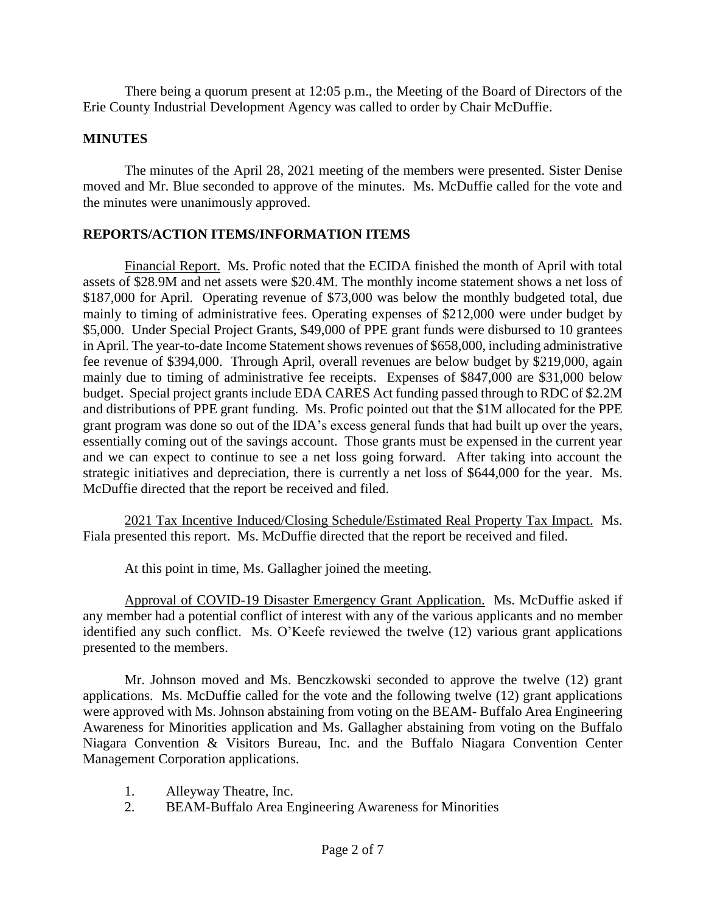There being a quorum present at 12:05 p.m., the Meeting of the Board of Directors of the Erie County Industrial Development Agency was called to order by Chair McDuffie.

# **MINUTES**

The minutes of the April 28, 2021 meeting of the members were presented. Sister Denise moved and Mr. Blue seconded to approve of the minutes. Ms. McDuffie called for the vote and the minutes were unanimously approved.

# **REPORTS/ACTION ITEMS/INFORMATION ITEMS**

Financial Report. Ms. Profic noted that the ECIDA finished the month of April with total assets of \$28.9M and net assets were \$20.4M. The monthly income statement shows a net loss of \$187,000 for April. Operating revenue of \$73,000 was below the monthly budgeted total, due mainly to timing of administrative fees. Operating expenses of \$212,000 were under budget by \$5,000. Under Special Project Grants, \$49,000 of PPE grant funds were disbursed to 10 grantees in April. The year-to-date Income Statement shows revenues of \$658,000, including administrative fee revenue of \$394,000. Through April, overall revenues are below budget by \$219,000, again mainly due to timing of administrative fee receipts. Expenses of \$847,000 are \$31,000 below budget. Special project grants include EDA CARES Act funding passed through to RDC of \$2.2M and distributions of PPE grant funding. Ms. Profic pointed out that the \$1M allocated for the PPE grant program was done so out of the IDA's excess general funds that had built up over the years, essentially coming out of the savings account. Those grants must be expensed in the current year and we can expect to continue to see a net loss going forward. After taking into account the strategic initiatives and depreciation, there is currently a net loss of \$644,000 for the year. Ms. McDuffie directed that the report be received and filed.

2021 Tax Incentive Induced/Closing Schedule/Estimated Real Property Tax Impact. Ms. Fiala presented this report. Ms. McDuffie directed that the report be received and filed.

At this point in time, Ms. Gallagher joined the meeting.

Approval of COVID-19 Disaster Emergency Grant Application. Ms. McDuffie asked if any member had a potential conflict of interest with any of the various applicants and no member identified any such conflict. Ms. O'Keefe reviewed the twelve (12) various grant applications presented to the members.

Mr. Johnson moved and Ms. Benczkowski seconded to approve the twelve (12) grant applications. Ms. McDuffie called for the vote and the following twelve (12) grant applications were approved with Ms. Johnson abstaining from voting on the BEAM- Buffalo Area Engineering Awareness for Minorities application and Ms. Gallagher abstaining from voting on the Buffalo Niagara Convention & Visitors Bureau, Inc. and the Buffalo Niagara Convention Center Management Corporation applications.

- 1. Alleyway Theatre, Inc.
- 2. BEAM-Buffalo Area Engineering Awareness for Minorities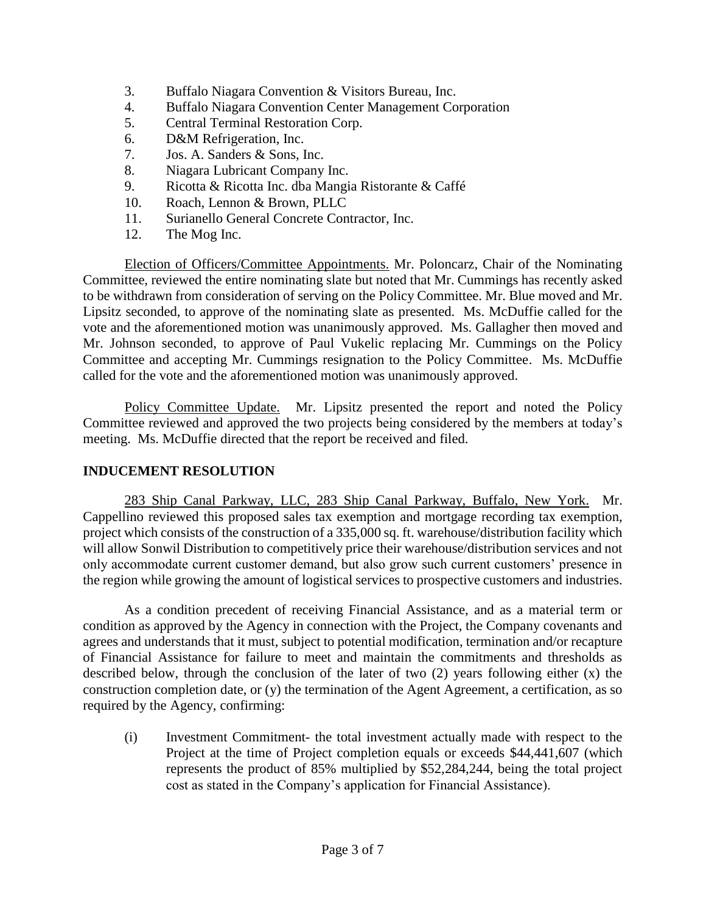- 3. Buffalo Niagara Convention & Visitors Bureau, Inc.
- 4. Buffalo Niagara Convention Center Management Corporation
- 5. Central Terminal Restoration Corp.
- 6. D&M Refrigeration, Inc.
- 7. Jos. A. Sanders & Sons, Inc.
- 8. Niagara Lubricant Company Inc.
- 9. Ricotta & Ricotta Inc. dba Mangia Ristorante & Caffé
- 10. Roach, Lennon & Brown, PLLC
- 11. Surianello General Concrete Contractor, Inc.
- 12. The Mog Inc.

Election of Officers/Committee Appointments. Mr. Poloncarz, Chair of the Nominating Committee, reviewed the entire nominating slate but noted that Mr. Cummings has recently asked to be withdrawn from consideration of serving on the Policy Committee. Mr. Blue moved and Mr. Lipsitz seconded, to approve of the nominating slate as presented. Ms. McDuffie called for the vote and the aforementioned motion was unanimously approved. Ms. Gallagher then moved and Mr. Johnson seconded, to approve of Paul Vukelic replacing Mr. Cummings on the Policy Committee and accepting Mr. Cummings resignation to the Policy Committee. Ms. McDuffie called for the vote and the aforementioned motion was unanimously approved.

Policy Committee Update. Mr. Lipsitz presented the report and noted the Policy Committee reviewed and approved the two projects being considered by the members at today's meeting. Ms. McDuffie directed that the report be received and filed.

# **INDUCEMENT RESOLUTION**

283 Ship Canal Parkway, LLC, 283 Ship Canal Parkway, Buffalo, New York. Mr. Cappellino reviewed this proposed sales tax exemption and mortgage recording tax exemption, project which consists of the construction of a 335,000 sq. ft. warehouse/distribution facility which will allow Sonwil Distribution to competitively price their warehouse/distribution services and not only accommodate current customer demand, but also grow such current customers' presence in the region while growing the amount of logistical services to prospective customers and industries.

As a condition precedent of receiving Financial Assistance, and as a material term or condition as approved by the Agency in connection with the Project, the Company covenants and agrees and understands that it must, subject to potential modification, termination and/or recapture of Financial Assistance for failure to meet and maintain the commitments and thresholds as described below, through the conclusion of the later of two (2) years following either (x) the construction completion date, or (y) the termination of the Agent Agreement, a certification, as so required by the Agency, confirming:

(i) Investment Commitment- the total investment actually made with respect to the Project at the time of Project completion equals or exceeds \$44,441,607 (which represents the product of 85% multiplied by \$52,284,244, being the total project cost as stated in the Company's application for Financial Assistance).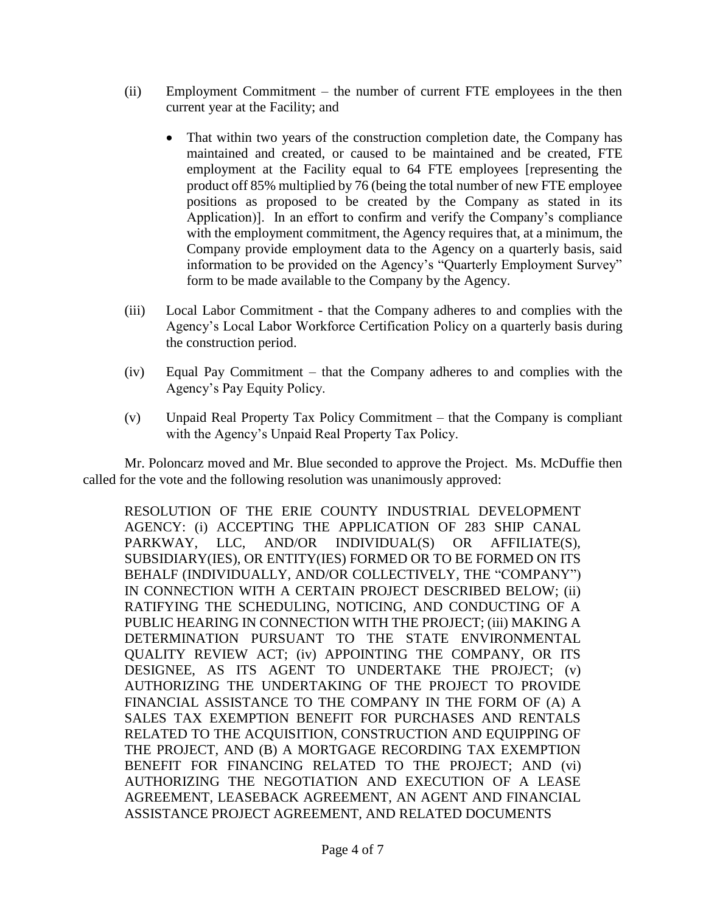- (ii) Employment Commitment the number of current FTE employees in the then current year at the Facility; and
	- That within two years of the construction completion date, the Company has maintained and created, or caused to be maintained and be created, FTE employment at the Facility equal to 64 FTE employees [representing the product off 85% multiplied by 76 (being the total number of new FTE employee positions as proposed to be created by the Company as stated in its Application)]. In an effort to confirm and verify the Company's compliance with the employment commitment, the Agency requires that, at a minimum, the Company provide employment data to the Agency on a quarterly basis, said information to be provided on the Agency's "Quarterly Employment Survey" form to be made available to the Company by the Agency.
- (iii) Local Labor Commitment that the Company adheres to and complies with the Agency's Local Labor Workforce Certification Policy on a quarterly basis during the construction period.
- (iv) Equal Pay Commitment that the Company adheres to and complies with the Agency's Pay Equity Policy.
- (v) Unpaid Real Property Tax Policy Commitment that the Company is compliant with the Agency's Unpaid Real Property Tax Policy.

Mr. Poloncarz moved and Mr. Blue seconded to approve the Project. Ms. McDuffie then called for the vote and the following resolution was unanimously approved:

RESOLUTION OF THE ERIE COUNTY INDUSTRIAL DEVELOPMENT AGENCY: (i) ACCEPTING THE APPLICATION OF 283 SHIP CANAL PARKWAY, LLC, AND/OR INDIVIDUAL(S) OR AFFILIATE(S), SUBSIDIARY(IES), OR ENTITY(IES) FORMED OR TO BE FORMED ON ITS BEHALF (INDIVIDUALLY, AND/OR COLLECTIVELY, THE "COMPANY") IN CONNECTION WITH A CERTAIN PROJECT DESCRIBED BELOW; (ii) RATIFYING THE SCHEDULING, NOTICING, AND CONDUCTING OF A PUBLIC HEARING IN CONNECTION WITH THE PROJECT; (iii) MAKING A DETERMINATION PURSUANT TO THE STATE ENVIRONMENTAL QUALITY REVIEW ACT; (iv) APPOINTING THE COMPANY, OR ITS DESIGNEE, AS ITS AGENT TO UNDERTAKE THE PROJECT; (v) AUTHORIZING THE UNDERTAKING OF THE PROJECT TO PROVIDE FINANCIAL ASSISTANCE TO THE COMPANY IN THE FORM OF (A) A SALES TAX EXEMPTION BENEFIT FOR PURCHASES AND RENTALS RELATED TO THE ACQUISITION, CONSTRUCTION AND EQUIPPING OF THE PROJECT, AND (B) A MORTGAGE RECORDING TAX EXEMPTION BENEFIT FOR FINANCING RELATED TO THE PROJECT; AND (vi) AUTHORIZING THE NEGOTIATION AND EXECUTION OF A LEASE AGREEMENT, LEASEBACK AGREEMENT, AN AGENT AND FINANCIAL ASSISTANCE PROJECT AGREEMENT, AND RELATED DOCUMENTS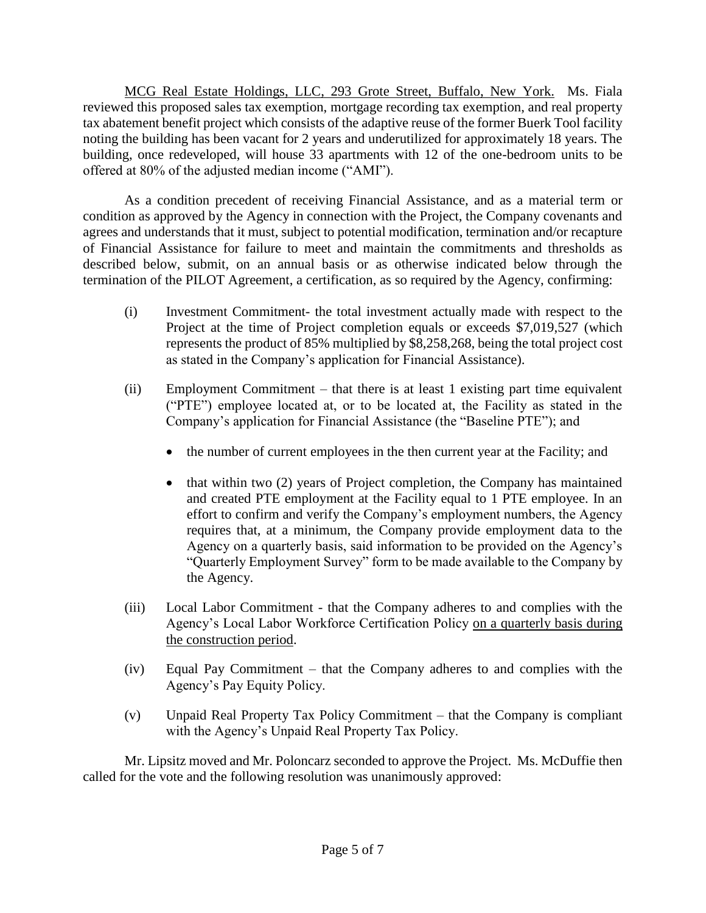MCG Real Estate Holdings, LLC, 293 Grote Street, Buffalo, New York. Ms. Fiala reviewed this proposed sales tax exemption, mortgage recording tax exemption, and real property tax abatement benefit project which consists of the adaptive reuse of the former Buerk Tool facility noting the building has been vacant for 2 years and underutilized for approximately 18 years. The building, once redeveloped, will house 33 apartments with 12 of the one-bedroom units to be offered at 80% of the adjusted median income ("AMI").

As a condition precedent of receiving Financial Assistance, and as a material term or condition as approved by the Agency in connection with the Project, the Company covenants and agrees and understands that it must, subject to potential modification, termination and/or recapture of Financial Assistance for failure to meet and maintain the commitments and thresholds as described below, submit, on an annual basis or as otherwise indicated below through the termination of the PILOT Agreement, a certification, as so required by the Agency, confirming:

- (i) Investment Commitment- the total investment actually made with respect to the Project at the time of Project completion equals or exceeds \$7,019,527 (which represents the product of 85% multiplied by \$8,258,268, being the total project cost as stated in the Company's application for Financial Assistance).
- (ii) Employment Commitment that there is at least 1 existing part time equivalent ("PTE") employee located at, or to be located at, the Facility as stated in the Company's application for Financial Assistance (the "Baseline PTE"); and
	- the number of current employees in the then current year at the Facility; and
	- that within two (2) years of Project completion, the Company has maintained and created PTE employment at the Facility equal to 1 PTE employee. In an effort to confirm and verify the Company's employment numbers, the Agency requires that, at a minimum, the Company provide employment data to the Agency on a quarterly basis, said information to be provided on the Agency's "Quarterly Employment Survey" form to be made available to the Company by the Agency.
- (iii) Local Labor Commitment that the Company adheres to and complies with the Agency's Local Labor Workforce Certification Policy on a quarterly basis during the construction period.
- (iv) Equal Pay Commitment that the Company adheres to and complies with the Agency's Pay Equity Policy.
- (v) Unpaid Real Property Tax Policy Commitment that the Company is compliant with the Agency's Unpaid Real Property Tax Policy.

Mr. Lipsitz moved and Mr. Poloncarz seconded to approve the Project. Ms. McDuffie then called for the vote and the following resolution was unanimously approved: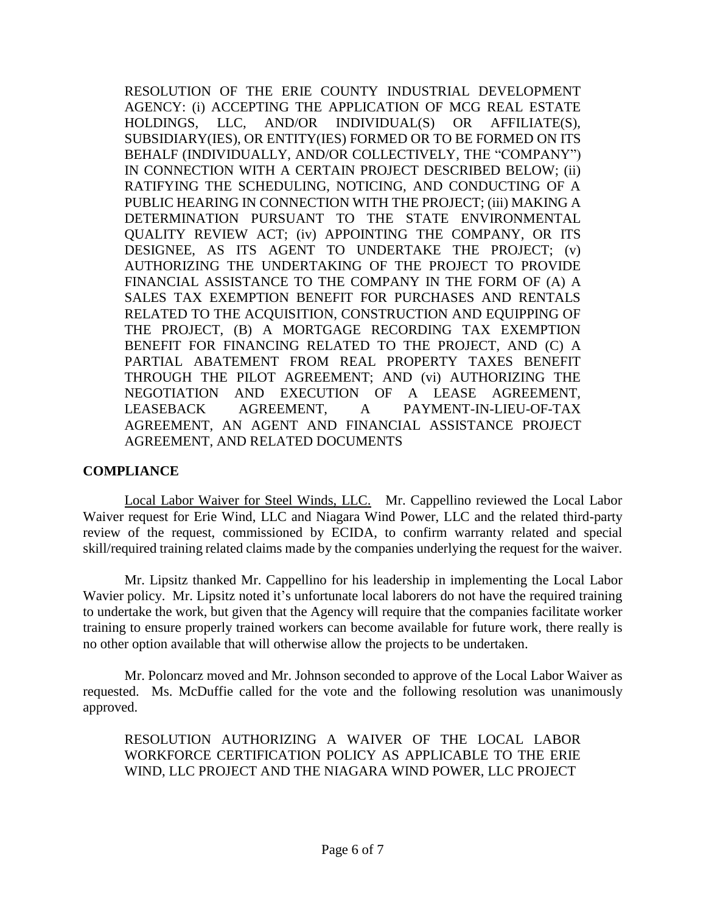RESOLUTION OF THE ERIE COUNTY INDUSTRIAL DEVELOPMENT AGENCY: (i) ACCEPTING THE APPLICATION OF MCG REAL ESTATE HOLDINGS, LLC, AND/OR INDIVIDUAL(S) OR AFFILIATE(S), SUBSIDIARY(IES), OR ENTITY(IES) FORMED OR TO BE FORMED ON ITS BEHALF (INDIVIDUALLY, AND/OR COLLECTIVELY, THE "COMPANY") IN CONNECTION WITH A CERTAIN PROJECT DESCRIBED BELOW; (ii) RATIFYING THE SCHEDULING, NOTICING, AND CONDUCTING OF A PUBLIC HEARING IN CONNECTION WITH THE PROJECT; (iii) MAKING A DETERMINATION PURSUANT TO THE STATE ENVIRONMENTAL QUALITY REVIEW ACT; (iv) APPOINTING THE COMPANY, OR ITS DESIGNEE, AS ITS AGENT TO UNDERTAKE THE PROJECT; (v) AUTHORIZING THE UNDERTAKING OF THE PROJECT TO PROVIDE FINANCIAL ASSISTANCE TO THE COMPANY IN THE FORM OF (A) A SALES TAX EXEMPTION BENEFIT FOR PURCHASES AND RENTALS RELATED TO THE ACQUISITION, CONSTRUCTION AND EQUIPPING OF THE PROJECT, (B) A MORTGAGE RECORDING TAX EXEMPTION BENEFIT FOR FINANCING RELATED TO THE PROJECT, AND (C) A PARTIAL ABATEMENT FROM REAL PROPERTY TAXES BENEFIT THROUGH THE PILOT AGREEMENT; AND (vi) AUTHORIZING THE NEGOTIATION AND EXECUTION OF A LEASE AGREEMENT, LEASEBACK AGREEMENT, A PAYMENT-IN-LIEU-OF-TAX AGREEMENT, AN AGENT AND FINANCIAL ASSISTANCE PROJECT AGREEMENT, AND RELATED DOCUMENTS

### **COMPLIANCE**

Local Labor Waiver for Steel Winds, LLC. Mr. Cappellino reviewed the Local Labor Waiver request for Erie Wind, LLC and Niagara Wind Power, LLC and the related third-party review of the request, commissioned by ECIDA, to confirm warranty related and special skill/required training related claims made by the companies underlying the request for the waiver.

Mr. Lipsitz thanked Mr. Cappellino for his leadership in implementing the Local Labor Wavier policy. Mr. Lipsitz noted it's unfortunate local laborers do not have the required training to undertake the work, but given that the Agency will require that the companies facilitate worker training to ensure properly trained workers can become available for future work, there really is no other option available that will otherwise allow the projects to be undertaken.

Mr. Poloncarz moved and Mr. Johnson seconded to approve of the Local Labor Waiver as requested. Ms. McDuffie called for the vote and the following resolution was unanimously approved.

RESOLUTION AUTHORIZING A WAIVER OF THE LOCAL LABOR WORKFORCE CERTIFICATION POLICY AS APPLICABLE TO THE ERIE WIND, LLC PROJECT AND THE NIAGARA WIND POWER, LLC PROJECT